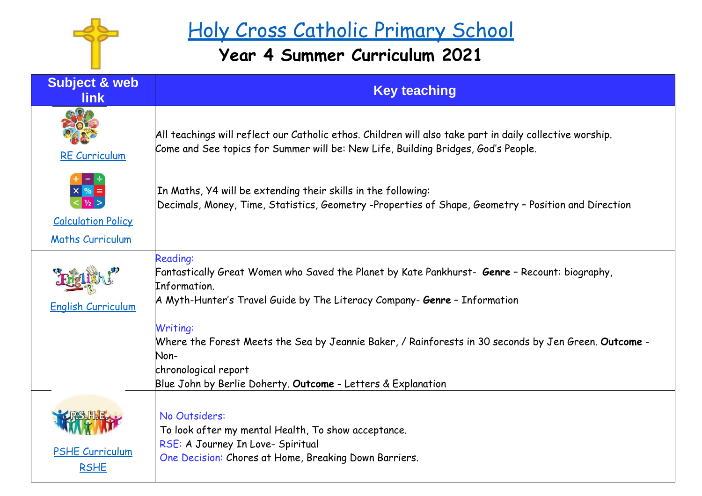

## Holy Cross Catholic Primary School

## **Year 4 Summer Curriculum 2021**

| <b>Subject &amp; web</b><br><b>link</b>              | <b>Key teaching</b>                                                                                                                                                                                                                                                                                                                                                                                                                             |
|------------------------------------------------------|-------------------------------------------------------------------------------------------------------------------------------------------------------------------------------------------------------------------------------------------------------------------------------------------------------------------------------------------------------------------------------------------------------------------------------------------------|
| <b>RE Curriculum</b>                                 | All teachings will reflect our Catholic ethos. Children will also take part in daily collective worship.<br>Come and See topics for Summer will be: New Life, Building Bridges, God's People.                                                                                                                                                                                                                                                   |
| <b>Calculation Policy</b><br><b>Maths Curriculum</b> | In Maths, Y4 will be extending their skills in the following:<br>Decimals, Money, Time, Statistics, Geometry -Properties of Shape, Geometry - Position and Direction                                                                                                                                                                                                                                                                            |
| <b>English Curriculum</b>                            | <b>Reading:</b><br>Fantastically Great Women who Saved the Planet by Kate Pankhurst- <b>Genre</b> - Recount: biography,<br>Information.<br>A Myth-Hunter's Travel Guide by The Literacy Company- <b>Genre</b> - Information<br>Writing:<br>Where the Forest Meets the Sea by Jeannie Baker, / Rainforests in 30 seconds by Jen Green. Outcome -<br>Non-<br>chronological report<br>Blue John by Berlie Doherty. Outcome - Letters & Explanation |
| <b>PSHE Curriculum</b><br><b>RSHE</b>                | No Outsiders:<br>To look after my mental Health, To show acceptance.<br>RSE: A Journey In Love- Spiritual<br>One Decision: Chores at Home, Breaking Down Barriers.                                                                                                                                                                                                                                                                              |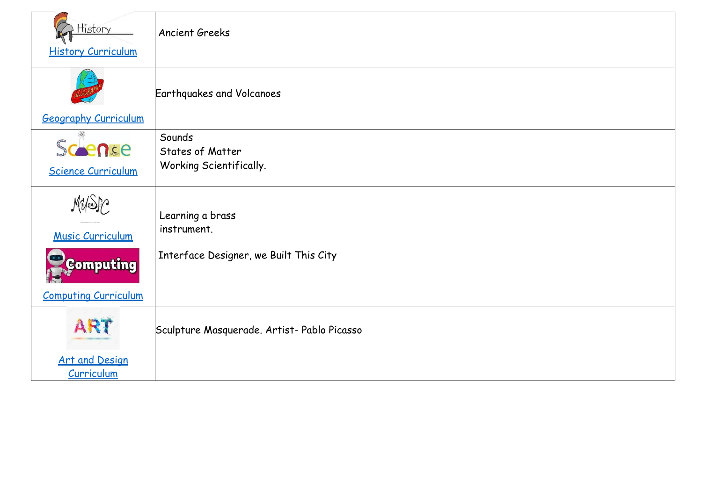| History<br><b>History Curriculum</b>            | <b>Ancient Greeks</b>                                 |
|-------------------------------------------------|-------------------------------------------------------|
| <b>Geography Curriculum</b>                     | <b>Earthquakes and Volcanoes</b>                      |
| Scence<br><b>Science Curriculum</b>             | Sounds<br>States of Matter<br>Working Scientifically. |
| Music Curriculum                                | Learning a brass<br>instrument.                       |
| <b>Computing</b><br><b>Computing Curriculum</b> | Interface Designer, we Built This City                |
| AR <sup>®</sup>                                 | Sculpture Masquerade. Artist- Pablo Picasso           |
| <b>Art and Design</b><br>Curriculum             |                                                       |